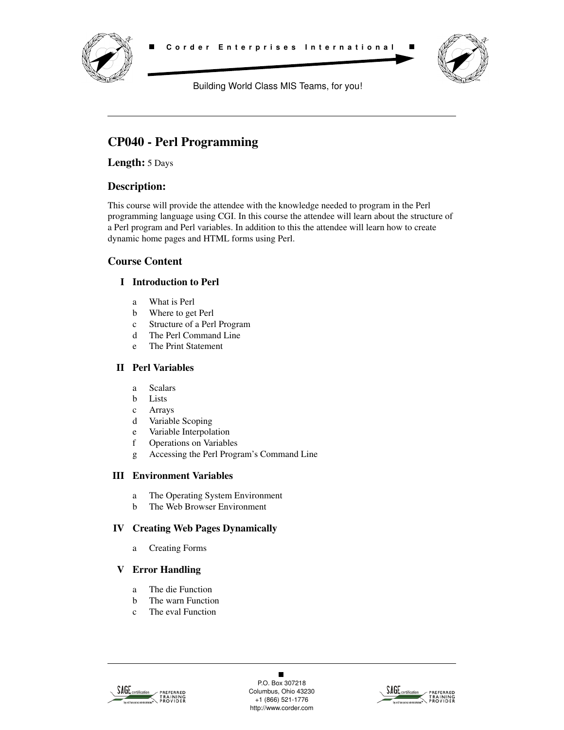



Building World Class MIS Teams, for you!

# **CP040 - Perl Programming**

**Length:** 5 Days

# **Description:**

This course will provide the attendee with the knowledge needed to program in the Perl programming language using CGI. In this course the attendee will learn about the structure of a Perl program and Perl variables. In addition to this the attendee will learn how to create dynamic home pages and HTML forms using Perl.

# **Course Content**

# **I Introduction to Perl**

- a What is Perl
- b Where to get Perl
- c Structure of a Perl Program
- d The Perl Command Line
- e The Print Statement

# **II Perl Variables**

- a Scalars
- b Lists
- c Arrays
- d Variable Scoping
- e Variable Interpolation
- f Operations on Variables
- g Accessing the Perl Program's Command Line

#### **III Environment Variables**

- a The Operating System Environment
- b The Web Browser Environment

#### **IV Creating Web Pages Dynamically**

a Creating Forms

#### **V Error Handling**

- a The die Function
- b The warn Function
- c The eval Function



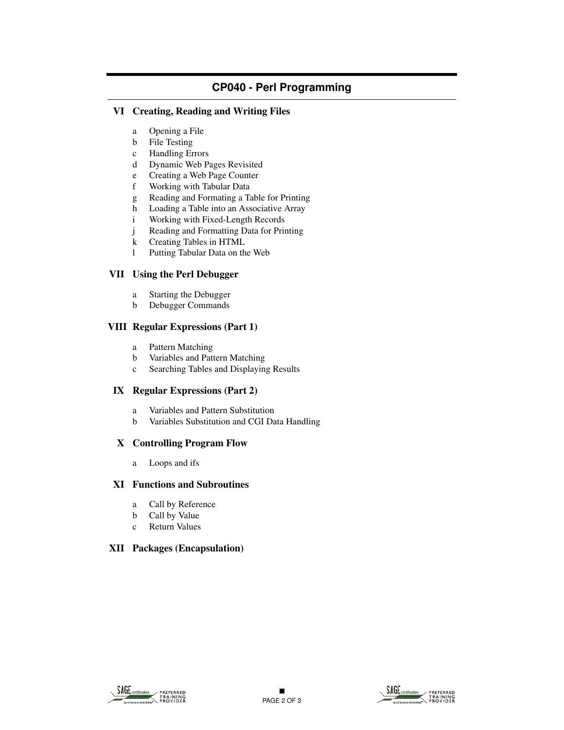# **CP040 - Perl Programming**

#### **VI Creating, Reading and Writing Files**

- a Opening a File
- b File Testing
- c Handling Errors
- d Dynamic Web Pages Revisited
- e Creating a Web Page Counter
- f Working with Tabular Data
- g Reading and Formating a Table for Printing
- h Loading a Table into an Associative Array
- i Working with Fixed-Length Records
- j Reading and Formatting Data for Printing
- k Creating Tables in HTML
- l Putting Tabular Data on the Web

#### **VII Using the Perl Debugger**

- a Starting the Debugger
- b Debugger Commands

#### **VIII Regular Expressions (Part 1)**

- a Pattern Matching
- b Variables and Pattern Matching
- c Searching Tables and Displaying Results

#### **IX Regular Expressions (Part 2)**

- a Variables and Pattern Substitution
- b Variables Substitution and CGI Data Handling

#### **X Controlling Program Flow**

a Loops and ifs

#### **XI Functions and Subroutines**

- a Call by Reference
- b Call by Value
- c Return Values

#### **XII Packages (Encapsulation)**